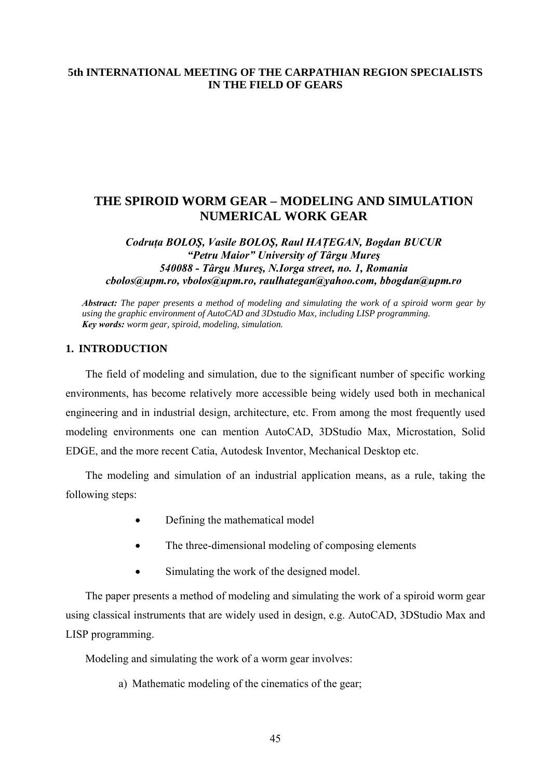## **5th INTERNATIONAL MEETING OF THE CARPATHIAN REGION SPECIALISTS IN THE FIELD OF GEARS**

# **THE SPIROID WORM GEAR – MODELING AND SIMULATION NUMERICAL WORK GEAR**

## *Codruţa BOLOŞ, Vasile BOLOŞ, Raul HAŢEGAN, Bogdan BUCUR "Petru Maior" University of Târgu Mureş 540088 - Târgu Mureş, N.Iorga street, no. 1, Romania [cbolos@upm.ro](mailto:cbolos@upm.ro), [vbolos@upm.ro](mailto:vbolos@upm.ro), raulhategan@yahoo.com, [bbogdan@upm.ro](mailto:bbogdan@upm.ro)*

*Abstract: The paper presents a method of modeling and simulating the work of a spiroid worm gear by using the graphic environment of AutoCAD and 3Dstudio Max, including LISP programming. Key words: worm gear, spiroid, modeling, simulation.* 

## **1. INTRODUCTION**

The field of modeling and simulation, due to the significant number of specific working environments, has become relatively more accessible being widely used both in mechanical engineering and in industrial design, architecture, etc. From among the most frequently used modeling environments one can mention AutoCAD, 3DStudio Max, Microstation, Solid EDGE, and the more recent Catia, Autodesk Inventor, Mechanical Desktop etc.

The modeling and simulation of an industrial application means, as a rule, taking the following steps:

- Defining the mathematical model
- The three-dimensional modeling of composing elements
- Simulating the work of the designed model.

The paper presents a method of modeling and simulating the work of a spiroid worm gear using classical instruments that are widely used in design, e.g. AutoCAD, 3DStudio Max and LISP programming.

Modeling and simulating the work of a worm gear involves:

a) Mathematic modeling of the cinematics of the gear;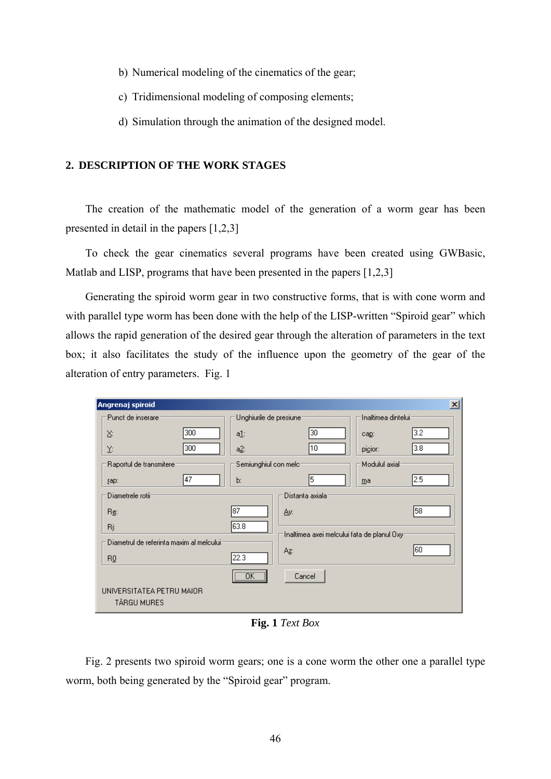- b) Numerical modeling of the cinematics of the gear;
- c) Tridimensional modeling of composing elements;
- d) Simulation through the animation of the designed model.

#### **2. DESCRIPTION OF THE WORK STAGES**

The creation of the mathematic model of the generation of a worm gear has been presented in detail in the papers [1,2,3]

To check the gear cinematics several programs have been created using GWBasic, Matlab and LISP, programs that have been presented in the papers [1,2,3]

Generating the spiroid worm gear in two constructive forms, that is with cone worm and with parallel type worm has been done with the help of the LISP-written "Spiroid gear" which allows the rapid generation of the desired gear through the alteration of parameters in the text box; it also facilitates the study of the influence upon the geometry of the gear of the alteration of entry parameters. Fig. 1

| Angrenaj spiroid                          |                          |                                              |                     | $\vert x \vert$ |
|-------------------------------------------|--------------------------|----------------------------------------------|---------------------|-----------------|
| Punct de inserare                         | Unghiurile de presiune:  |                                              | Inaltimea dintelui: |                 |
| 300<br>Χ.                                 | a <u>1</u> :             | 30                                           | cap:                | 3.2             |
| 300<br>Y:                                 | a <u>2</u> :             | 10                                           | picior:             | 3.8             |
| Raportul de transmitere:                  | Semiunghiul con melc:    |                                              | Modulul axial       |                 |
| 47<br>[ap:                                | Ъ.                       | 5                                            | ma                  | 2.5             |
| Diametrele rotii:                         |                          | Distanta axiala:                             |                     |                 |
| Re:                                       | 87                       | Ay:                                          |                     | 58              |
| Rį:                                       | 63.8                     |                                              |                     |                 |
| Diametrul de referinta maxim al melcului: |                          | 'Inaltimea axei melcului fata de planul Oxyr |                     |                 |
| BQ                                        | 22.3                     | Az:                                          |                     | 60              |
|                                           | $\overline{\mathsf{OK}}$ | Cancel                                       |                     |                 |
| UNIVERSITATEA PETRU MAIOR<br>TÂRGU MURES  |                          |                                              |                     |                 |

**Fig. 1** *Text Box*

Fig. 2 presents two spiroid worm gears; one is a cone worm the other one a parallel type worm, both being generated by the "Spiroid gear" program.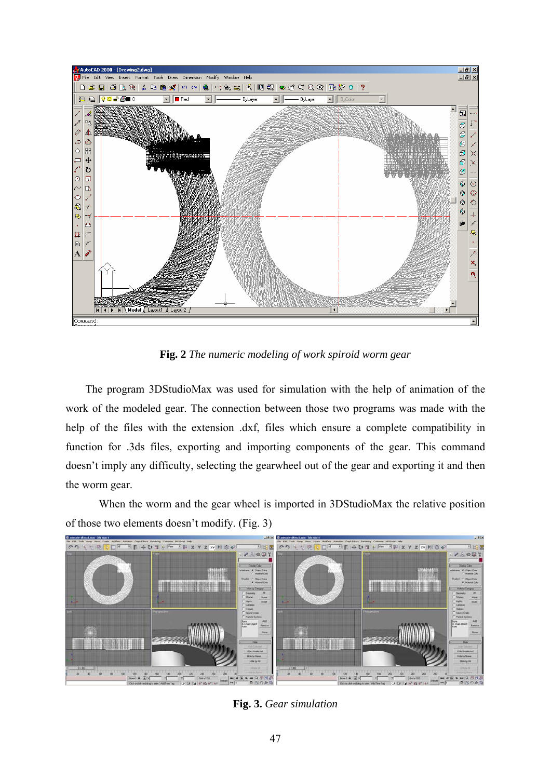

**Fig. 2** *The numeric modeling of work spiroid worm gear*

The program 3DStudioMax was used for simulation with the help of animation of the work of the modeled gear. The connection between those two programs was made with the help of the files with the extension .dxf, files which ensure a complete compatibility in function for .3ds files, exporting and importing components of the gear. This command doesn't imply any difficulty, selecting the gearwheel out of the gear and exporting it and then the worm gear.

 When the worm and the gear wheel is imported in 3DStudioMax the relative position of those two elements doesn't modify. (Fig. 3)



**Fig. 3.** *Gear simulation*